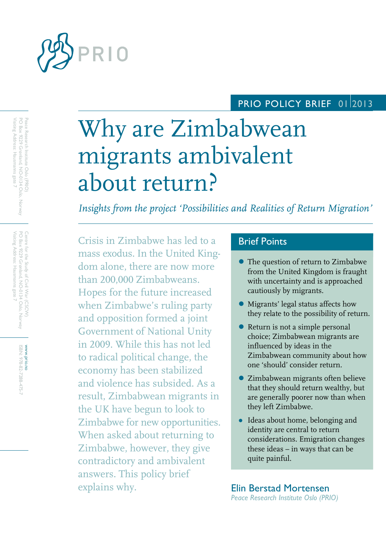

# PRIO POLICY BRIEF 01 2013

# Why are Zimbabwean migrants ambivalent about return?

*Insights from the project 'Possibilities and Realities of Return Migration'*

Crisis in Zimbabwe has led to a mass exodus. In the United Kingdom alone, there are now more than 200,000 Zimbabweans. Hopes for the future increased when Zimbabwe's ruling party and opposition formed a joint Government of National Unity in 2009. While this has not led to radical political change, the economy has been stabilized and violence has subsided. As a result, Zimbabwean migrants in the UK have begun to look to Zimbabwe for new opportunities. When asked about returning to Zimbabwe, however, they give contradictory and ambivalent answers. This policy brief explains why.

## Brief Points

- The question of return to Zimbabwe from the United Kingdom is fraught with uncertainty and is approached cautiously by migrants.
- Migrants' legal status affects how they relate to the possibility of return.
- Return is not a simple personal choice; Zimbabwean migrants are influenced by ideas in the Zimbabwean community about how one 'should' consider return.
- Zimbabwean migrants often believe that they should return wealthy, but are generally poorer now than when they left Zimbabwe.
- Ideas about home, belonging and identity are central to return considerations. Emigration changes these ideas – in ways that can be quite painful.

## Elin Berstad Mortensen *Peace Research Institute Oslo (PRIO)*

Visiting Address: Hausmanns gate 7 Visiting Address: Hausmanns gate 7 Peace Research Institute Oslo (PRIO)<br>PO Box 9229 Grønland, NO-0134 Oslo, Norway PO Box 9229 Grønland, NO Peace Research Institute Oslo (PRIO) -0134 Oslo, Norway

> Visiting Address: Hausmanns gate 7 Centre for the Study of Civil War (CSCW)<br>PO Box 9229 Grønland, NO-0134 Oslo, Norway Visiting Address: Hausmanns gate 7 PO Box 9229 Grønland, NO Centre for the Study of Civil War (CSCW) -0134 Oslo, Norway

> > WWW.prio.no<br>ISBN: 978-82-7288-475-7 [www.prio.no](http://www.prio.no/) 978-82-7288-475-7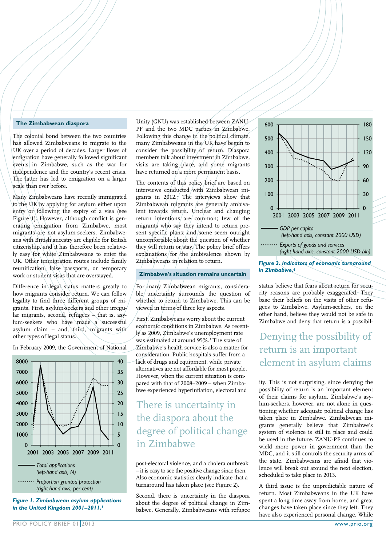#### **The Zimbabwean diaspora**

The colonial bond between the two countries has allowed Zimbabweans to migrate to the UK over a period of decades. Larger flows of emigration have generally followed significant events in Zimbabwe, such as the war for independence and the country's recent crisis. The latter has led to emigration on a larger scale than ever before.

Many Zimbabweans have recently immigrated to the UK by applying for asylum either upon entry or following the expiry of a visa (see Figure 1). However, although conflict is generating emigration from Zimbabwe, most migrants are not asylum-seekers. Zimbabweans with British ancestry are eligible for British citizenship, and it has therefore been relatively easy for white Zimbabweans to enter the UK. Other immigration routes include family reunification, false passports, or temporary work or student visas that are overstayed.

Difference in legal status matters greatly to how migrants consider return. We can follow legality to find three different groups of migrants. First, asylum-seekers and other irregular migrants, second, refugees – that is, asylum-seekers who have made a successful asylum claim – and, third, migrants with other types of legal status.

In February 2009, the Government of National



*Figure 1. Zimbabwean asylum applications in the United Kingdom 2001–2011.<sup>1</sup>*

Unity (GNU) was established between ZANU-PF and the two MDC parties in Zimbabwe. Following this change in the political climate, many Zimbabweans in the UK have begun to consider the possibility of return. Diaspora members talk about investment in Zimbabwe, visits are taking place, and some migrants have returned on a more permanent basis.

The contents of this policy brief are based on interviews conducted with Zimbabwean migrants in  $2012.^2$  The interviews show that Zimbabwean migrants are generally ambivalent towards return. Unclear and changing return intentions are common; few of the migrants who say they intend to return present specific plans;  $\alpha$  /some seem outright uncomfortable about the question of whether they will return or/stay. The policy brief offers explanations for the ambivalence shown by Zimbabweans in relation to return.

#### **Zimbabwe's situation remains uncertain**

For many Zimbabwean migrants, considerable uncertainty surrounds the question of whether to return to Zimbabwe. This can be viewed in terms/of three key aspects.

First, Zimbabweans worry about the current economic conditions in Zimbabwe. As recently as 2009, Zimbabwe's unemployment rate was estimated at around 95%.<sup>3</sup> The state of Zimbabwe's health service is also a matter for consideration. Public hospitals suffer from a lack of drugs and equipment, while private alternatives are not affordable for most people. However, when the current situation is compared with that of 2008–2009 – when Zimbabwe experienced hyperinflation, electoral and

## There is uncertainty in the diaspora about the degree of political change in Zimbabwe

post-electoral violence, and a cholera outbreak – it is easy to see the positive change since then. Also economic statistics clearly indicate that a turnaround has taken place (see Figure 2).

Second, there is uncertainty in the diaspora about the degree of political change in Zimbabwe. Generally, Zimbabweans with refugee



*Figure 2. Indicators of economic turnaround in Zimbabwe.<sup>4</sup>*

status believe that fears about return for security reasons are probably exaggerated. They base their beliefs on the visits of other refugees to Zimbabwe. Asylum-seekers, on the other hand, believe they would not be safe in Zimbabwe and deny that return is a possibil-

Denying the possibility of return is an important element in asylum claims

ity. This is not surprising, since denying the possibility of return is an important element of their claims for asylum. Zimbabwe's asylum-seekers, however, are not alone in questioning whether adequate political change has taken place in Zimbabwe. Zimbabwean migrants generally believe that Zimbabwe's system of violence is still in place and could be used in the future. ZANU-PF continues to wield more power in government than the MDC, and it still controls the security arms of the state. Zimbabweans are afraid that violence will break out around the next election, scheduled to take place in 2013.

A third issue is the unpredictable nature of return. Most Zimbabweans in the UK have spent a long time away from home, and great changes have taken place since they left. They have also experienced personal change. While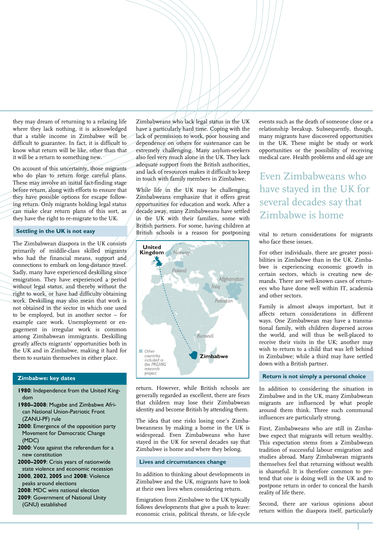they may dream of returning to a relaxing life where they lack nothing, it is acknowledged that a stable income in Zimbabwe will be difficult to guarantee. In fact, it is difficult to know what return will be like, other than that it will be a return to something new.

On account of this uncertainty, those migrants who do plan to return forge careful plans. These may involve an initial fact-finding stage before return, along with efforts to ensure that they have possible options for escape following return. Only migrants holding legal status can make clear return plans of this sort, as they have the right to re-migrate to the UK.

#### **Settling in the UK is not easy**

The Zimbabwean diaspora in the UK consists primarily of middle-class skilled migrants who had the financial means, support and connections to embark on long-distance travel. Sadly, many have experienced deskilling since emigration. They have experienced a period without legal status, and thereby without the right to work, or have had difficulty obtaining work. Deskilling may also mean that work is not obtained in the sector in which one used to be employed, but in another sector – for example care work. Unemployment or engagement in irregular work is common among Zimbabwean immigrants. Deskilling greatly affects migrants' opportunities both in the UK and in Zimbabwe, making it hard for them to sustain themselves in either place.

#### **Zimbabwe: key dates**

- **1980**: Independence from the United Kingdom
- **1980–2008**: Mugabe and Zimbabwe African National Union-Patriotic Front (ZANU-PF) rule
- **2000**: Emergence of the opposition party Movement for Democratic Change (MDC)
- **2000**: Vote against the referendum for a new constitution
- **2000–2009**: Crisis years of nationwide state violence and economic recession
- **2000**, **2002**, **2005** and **2008**: Violence peaks around elections
- **2008**: MDC wins national election
- **2009**: Government of National Unity
- (GNU) established

Zimbabweans who lack legal status in the UK have a particularly hard time. Coping with the lack of permission to work, poor housing and dependence on others for sustenance can be extremely challenging. Many asylum-seekers also feel very much alone in the UK. They lack adequate support from the British authorities**,** and lack of/resources makes it difficult to keep in touch with family members in Zimbabwe.

While life in the UK may be challenging, Zimbabweans/emphasize that it offers great opportunities for education and work. After a decade away, many Zimbabweans have settled in the UK with their families, some with British partners. For some, having children at British schools is a reason for postponing



return. However, while British schools are generally regarded as excellent, there are fears that children may lose their Zimbabwean identity and become British by attending them.

The idea that one risks losing one's Zimbabweanness by making a home in the UK is widespread. Even Zimbabweans who have stayed in the UK for several decades say that Zimbabwe is home and where they belong.

#### **Lives and circumstances change**

In addition to thinking about developments in Zimbabwe and the UK, migrants have to look at their own lives when considering return.

Emigration from Zimbabwe to the UK typically follows developments that give a push to leave: economic crisis, political threats, or life-cycle events such as the death of someone close or a relationship breakup. Subsequently, though, many migrants have discovered opportunities in the UK. These might be study or work opportunities or the possibility of receiving medical care. Health problems and old age are

Even Zimbabweans who have stayed in the UK for several decades say that Zimbabwe is home

vital to return considerations for migrants who face these issues.

For other individuals, there are greater possibilities in Zimbabwe than in the UK. Zimbabwe is experiencing economic growth in certain sectors, which is creating new demands. There are well-known cases of returnees who have done well within IT, academia and other sectors.

Family is almost always important, but it affects return considerations in different ways. One Zimbabwean may have a transnational family, with children dispersed across the world, and will thus be well-placed to receive their visits in the UK; another may wish to return to a child that was left behind in Zimbabwe; while a third may have settled down with a British partner.

#### **Return is not simply a personal choice**

In addition to considering the situation in Zimbabwe and in the UK, many Zimbabwean migrants are influenced by what people around them think. Three such communal influences are particularly strong.

First, Zimbabweans who are still in Zimbabwe expect that migrants will return wealthy. This expectation stems from a Zimbabwean tradition of successful labour emigration and studies abroad. Many Zimbabwean migrants themselves feel that returning without wealth is shameful. It is therefore common to pretend that one is doing well in the UK and to postpone return in order to conceal the harsh reality of life there.

Second, there are various opinions about return within the diaspora itself, particularly